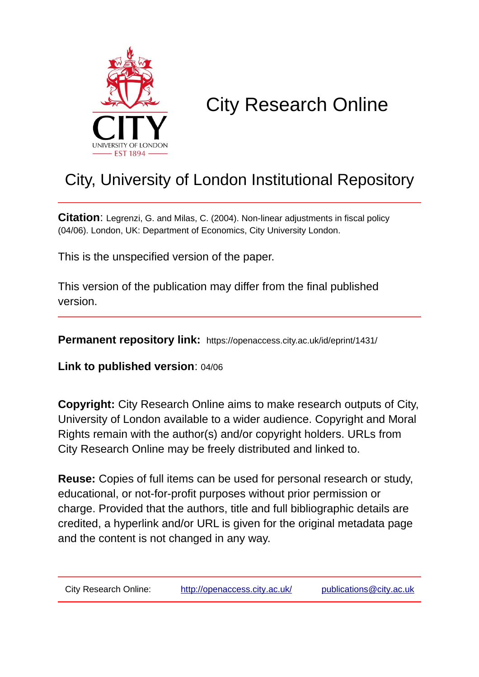

# City Research Online

## City, University of London Institutional Repository

**Citation**: Legrenzi, G. and Milas, C. (2004). Non-linear adjustments in fiscal policy (04/06). London, UK: Department of Economics, City University London.

This is the unspecified version of the paper.

This version of the publication may differ from the final published version.

**Permanent repository link:** https://openaccess.city.ac.uk/id/eprint/1431/

**Link to published version**: 04/06

**Copyright:** City Research Online aims to make research outputs of City, University of London available to a wider audience. Copyright and Moral Rights remain with the author(s) and/or copyright holders. URLs from City Research Online may be freely distributed and linked to.

**Reuse:** Copies of full items can be used for personal research or study, educational, or not-for-profit purposes without prior permission or charge. Provided that the authors, title and full bibliographic details are credited, a hyperlink and/or URL is given for the original metadata page and the content is not changed in any way.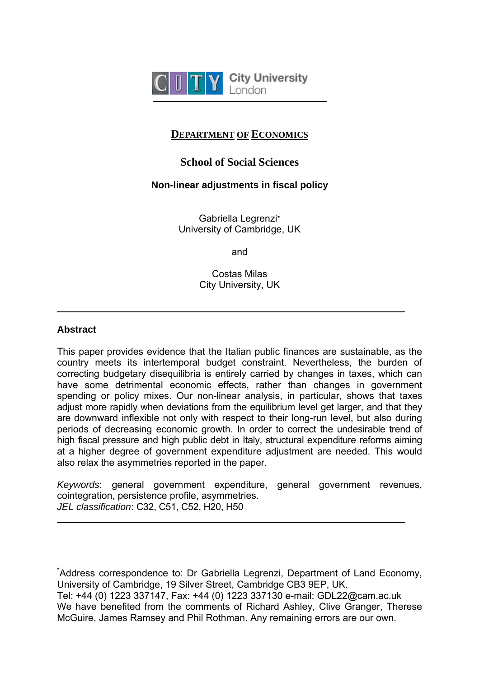

## **DEPARTMENT OF ECONOMICS**

## **School of Social Sciences**

### **Non-linear adjustments in fiscal policy**

Gabriella Legrenzi\* University of Cambridge, UK

and

Costas Milas City University, UK

#### **Abstract**

 $\overline{a}$ 

 $\overline{a}$ 

This paper provides evidence that the Italian public finances are sustainable, as the country meets its intertemporal budget constraint. Nevertheless, the burden of correcting budgetary disequilibria is entirely carried by changes in taxes, which can have some detrimental economic effects, rather than changes in government spending or policy mixes. Our non-linear analysis, in particular, shows that taxes adjust more rapidly when deviations from the equilibrium level get larger, and that they are downward inflexible not only with respect to their long-run level, but also during periods of decreasing economic growth. In order to correct the undesirable trend of high fiscal pressure and high public debt in Italy, structural expenditure reforms aiming at a higher degree of government expenditure adjustment are needed. This would also relax the asymmetries reported in the paper.

*Keywords*: general government expenditure, general government revenues, cointegration, persistence profile, asymmetries. *JEL classification*: C32, C51, C52, H20, H50

\* Address correspondence to: Dr Gabriella Legrenzi, Department of Land Economy, University of Cambridge, 19 Silver Street, Cambridge CB3 9EP, UK. Tel: +44 (0) 1223 337147, Fax: +44 (0) 1223 337130 e-mail: GDL22@cam.ac.uk We have benefited from the comments of Richard Ashley, Clive Granger, Therese McGuire, James Ramsey and Phil Rothman. Any remaining errors are our own.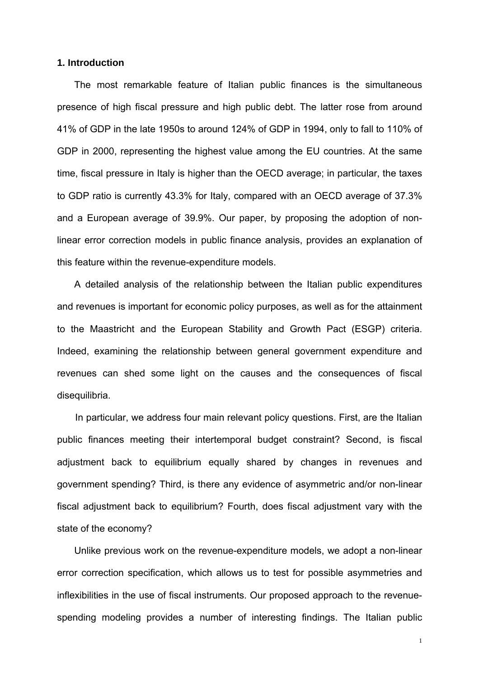#### **1. Introduction**

The most remarkable feature of Italian public finances is the simultaneous presence of high fiscal pressure and high public debt. The latter rose from around 41% of GDP in the late 1950s to around 124% of GDP in 1994, only to fall to 110% of GDP in 2000, representing the highest value among the EU countries. At the same time, fiscal pressure in Italy is higher than the OECD average; in particular, the taxes to GDP ratio is currently 43.3% for Italy, compared with an OECD average of 37.3% and a European average of 39.9%. Our paper, by proposing the adoption of nonlinear error correction models in public finance analysis, provides an explanation of this feature within the revenue-expenditure models.

A detailed analysis of the relationship between the Italian public expenditures and revenues is important for economic policy purposes, as well as for the attainment to the Maastricht and the European Stability and Growth Pact (ESGP) criteria. Indeed, examining the relationship between general government expenditure and revenues can shed some light on the causes and the consequences of fiscal disequilibria.

In particular, we address four main relevant policy questions. First, are the Italian public finances meeting their intertemporal budget constraint? Second, is fiscal adjustment back to equilibrium equally shared by changes in revenues and government spending? Third, is there any evidence of asymmetric and/or non-linear fiscal adjustment back to equilibrium? Fourth, does fiscal adjustment vary with the state of the economy?

Unlike previous work on the revenue-expenditure models, we adopt a non-linear error correction specification, which allows us to test for possible asymmetries and inflexibilities in the use of fiscal instruments. Our proposed approach to the revenuespending modeling provides a number of interesting findings. The Italian public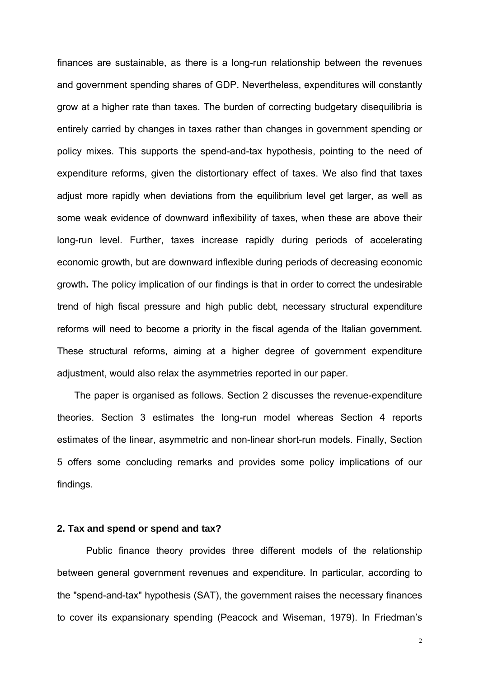finances are sustainable, as there is a long-run relationship between the revenues and government spending shares of GDP. Nevertheless, expenditures will constantly grow at a higher rate than taxes. The burden of correcting budgetary disequilibria is entirely carried by changes in taxes rather than changes in government spending or policy mixes. This supports the spend-and-tax hypothesis, pointing to the need of expenditure reforms, given the distortionary effect of taxes. We also find that taxes adjust more rapidly when deviations from the equilibrium level get larger, as well as some weak evidence of downward inflexibility of taxes, when these are above their long-run level. Further, taxes increase rapidly during periods of accelerating economic growth, but are downward inflexible during periods of decreasing economic growth**.** The policy implication of our findings is that in order to correct the undesirable trend of high fiscal pressure and high public debt, necessary structural expenditure reforms will need to become a priority in the fiscal agenda of the Italian government. These structural reforms, aiming at a higher degree of government expenditure adjustment, would also relax the asymmetries reported in our paper.

The paper is organised as follows. Section 2 discusses the revenue-expenditure theories. Section 3 estimates the long-run model whereas Section 4 reports estimates of the linear, asymmetric and non-linear short-run models. Finally, Section 5 offers some concluding remarks and provides some policy implications of our findings.

#### **2. Tax and spend or spend and tax?**

Public finance theory provides three different models of the relationship between general government revenues and expenditure. In particular, according to the "spend-and-tax" hypothesis (SAT), the government raises the necessary finances to cover its expansionary spending (Peacock and Wiseman, 1979). In Friedman's

 $\overline{2}$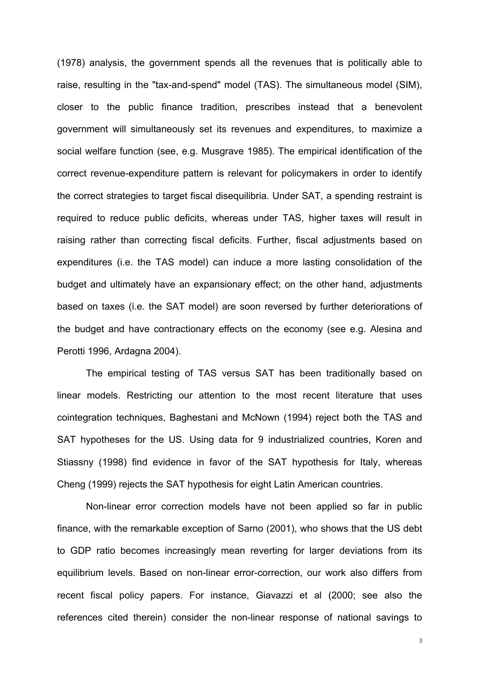(1978) analysis, the government spends all the revenues that is politically able to raise, resulting in the "tax-and-spend" model (TAS). The simultaneous model (SIM), closer to the public finance tradition, prescribes instead that a benevolent government will simultaneously set its revenues and expenditures, to maximize a social welfare function (see, e.g. Musgrave 1985). The empirical identification of the correct revenue-expenditure pattern is relevant for policymakers in order to identify the correct strategies to target fiscal disequilibria. Under SAT, a spending restraint is required to reduce public deficits, whereas under TAS, higher taxes will result in raising rather than correcting fiscal deficits. Further, fiscal adjustments based on expenditures (i.e. the TAS model) can induce a more lasting consolidation of the budget and ultimately have an expansionary effect; on the other hand, adjustments based on taxes (i.e. the SAT model) are soon reversed by further deteriorations of the budget and have contractionary effects on the economy (see e.g. Alesina and Perotti 1996, Ardagna 2004).

The empirical testing of TAS versus SAT has been traditionally based on linear models. Restricting our attention to the most recent literature that uses cointegration techniques, Baghestani and McNown (1994) reject both the TAS and SAT hypotheses for the US. Using data for 9 industrialized countries, Koren and Stiassny (1998) find evidence in favor of the SAT hypothesis for Italy, whereas Cheng (1999) rejects the SAT hypothesis for eight Latin American countries.

Non-linear error correction models have not been applied so far in public finance, with the remarkable exception of Sarno (2001), who shows that the US debt to GDP ratio becomes increasingly mean reverting for larger deviations from its equilibrium levels. Based on non-linear error-correction, our work also differs from recent fiscal policy papers. For instance, Giavazzi et al (2000; see also the references cited therein) consider the non-linear response of national savings to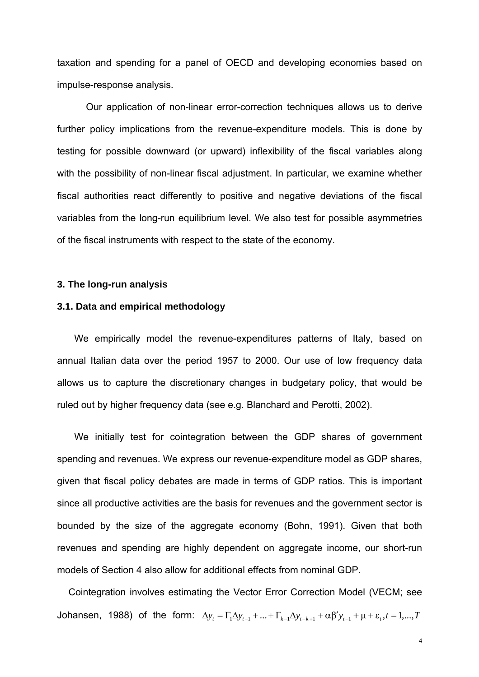taxation and spending for a panel of OECD and developing economies based on impulse-response analysis.

Our application of non-linear error-correction techniques allows us to derive further policy implications from the revenue-expenditure models. This is done by testing for possible downward (or upward) inflexibility of the fiscal variables along with the possibility of non-linear fiscal adjustment. In particular, we examine whether fiscal authorities react differently to positive and negative deviations of the fiscal variables from the long-run equilibrium level. We also test for possible asymmetries of the fiscal instruments with respect to the state of the economy.

#### **3. The long-run analysis**

#### **3.1. Data and empirical methodology**

We empirically model the revenue-expenditures patterns of Italy, based on annual Italian data over the period 1957 to 2000. Our use of low frequency data allows us to capture the discretionary changes in budgetary policy, that would be ruled out by higher frequency data (see e.g. Blanchard and Perotti, 2002).

We initially test for cointegration between the GDP shares of government spending and revenues. We express our revenue-expenditure model as GDP shares, given that fiscal policy debates are made in terms of GDP ratios. This is important since all productive activities are the basis for revenues and the government sector is bounded by the size of the aggregate economy (Bohn, 1991). Given that both revenues and spending are highly dependent on aggregate income, our short-run models of Section 4 also allow for additional effects from nominal GDP.

Cointegration involves estimating the Vector Error Correction Model (VECM; see Johansen, 1988) of the form:  $\Delta y_t = \Gamma_1 \Delta y_{t-1} + ... + \Gamma_{k-1} \Delta y_{t-k+1} + \alpha \beta' y_{t-1} + \mu + \varepsilon_t, t = 1,...,T$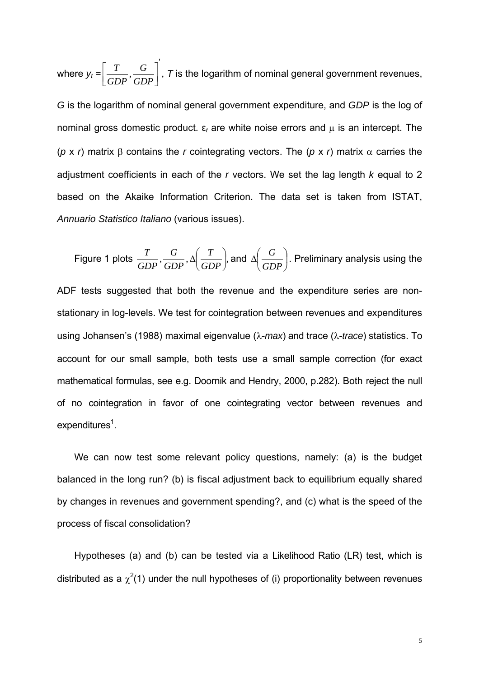where  $y_t = \left[ \frac{T}{GDP}, \frac{G}{GDP} \right]$ ' $\mathsf{L}$ *GDP G GDP*  $\left[T\right]$ ,  $\left[T\right]$ ,  $\tau$  is the logarithm of nominal general government revenues, *G* is the logarithm of nominal general government expenditure, and *GDP* is the log of

nominal gross domestic product.  $ε_t$  are white noise errors and  $μ$  is an intercept. The (*p* x *r*) matrix β contains the *r* cointegrating vectors. The (*p* x *r*) matrix α carries the adjustment coefficients in each of the *r* vectors. We set the lag length *k* equal to 2 based on the Akaike Information Criterion. The data set is taken from ISTAT, *Annuario Statistico Italiano* (various issues).

Figure 1 plots  $\frac{1}{\sqrt{25R}}, \frac{0}{\sqrt{25R}}, \Delta \frac{1}{\sqrt{25R}}$ , ⎠  $\left(\frac{T}{2R} \right)$ ⎝  $\Delta$ *GDP T GDP G GDP*  $\frac{T}{(S_{\text{max}})}, \frac{G}{\Delta}$   $\left(\frac{T}{S_{\text{max}}}\right)$  and  $\Delta \left(\frac{G}{S_{\text{max}}}\right)$ ⎠  $\left(\frac{G}{\sigma} \right)$ ⎝  $\Delta$ *GDP*  $\left. \frac{G}{G} \right|$ . Preliminary analysis using the

ADF tests suggested that both the revenue and the expenditure series are nonstationary in log-levels. We test for cointegration between revenues and expenditures using Johansen's (1988) maximal eigenvalue (λ-*max*) and trace (λ-*trace*) statistics. To account for our small sample, both tests use a small sample correction (for exact mathematical formulas, see e.g. Doornik and Hendry, 2000, p.282). Both reject the null of no cointegration in favor of one cointegrating vector between revenues and expenditures<sup>1</sup>.

We can now test some relevant policy questions, namely: (a) is the budget balanced in the long run? (b) is fiscal adjustment back to equilibrium equally shared by changes in revenues and government spending?, and (c) what is the speed of the process of fiscal consolidation?

<span id="page-6-0"></span>Hypotheses (a) and (b) can be tested via a Likelihood Ratio (LR) test, which is distributed as a  $\chi^2(1)$  under the null hypotheses of (i) proportionality between revenues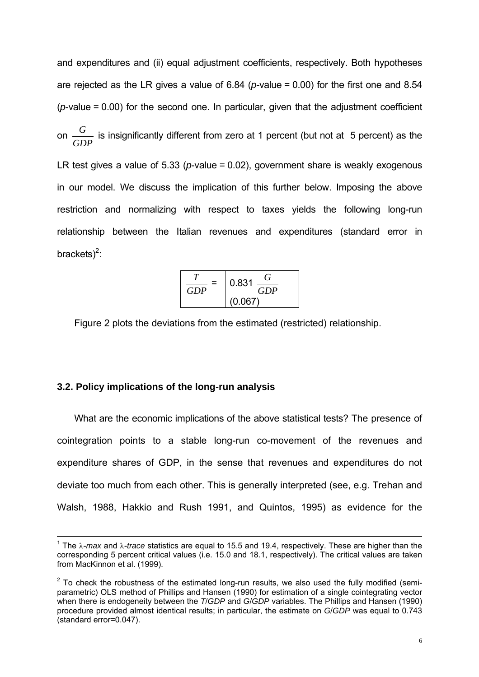and expenditures and (ii) equal adjustment coefficients, respectively. Both hypotheses are rejected as the LR gives a value of 6.84 (*p*-value = 0.00) for the first one and 8.54  $(p$ -value = 0.00) for the second one. In particular, given that the adjustment coefficient on *GDP*  $\frac{G}{\sqrt{2}}$  is insignificantly different from zero at 1 percent (but not at 5 percent) as the LR test gives a value of 5.33 (*p*-value = 0.02), government share is weakly exogenous in our model. We discuss the implication of this further below. Imposing the above restriction and normalizing with respect to taxes yields the following long-run relationship between the Italian revenues and expenditures (standard error in brackets) $2$ :

$$
\frac{T}{GDP} = \begin{bmatrix} 0.831 & \frac{G}{GDP} \\ 0.067 \end{bmatrix}
$$

Figure 2 plots the deviations from the estimated (restricted) relationship.

#### **3.2. Policy implications of the long-run analysis**

 $\overline{\phantom{a}}$ 

What are the economic implications of the above statistical tests? The presence of cointegration points to a stable long-run co-movement of the revenues and expenditure shares of GDP, in the sense that revenues and expenditures do not deviate too much from each other. This is generally interpreted (see, e.g. Trehan and Walsh, 1988, Hakkio and Rush 1991, and Quintos, 1995) as evidence for the

<sup>1</sup> The λ-*max* and λ-*trace* statistics are equal to 15.5 and 19.4, respectively. These are higher than the corresponding 5 percent critical values (i.e. 15.0 and 18.1, respectively). The critical values are taken from MacKinnon et al. (1999).

<span id="page-7-0"></span> $2$  To check the robustness of the estimated long-run results, we also used the fully modified (semiparametric) OLS method of Phillips and Hansen (1990) for estimation of a single cointegrating vector when there is endogeneity between the *T/GDP* and *G/GDP* variables. The Phillips and Hansen (1990) procedure provided almost identical results; in particular, the estimate on *G*/*GDP* was equal to 0.743 (standard error=0.047).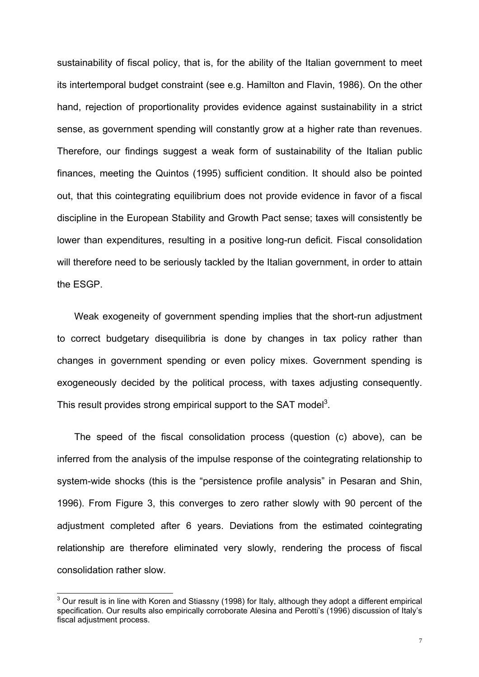sustainability of fiscal policy, that is, for the ability of the Italian government to meet its intertemporal budget constraint (see e.g. Hamilton and Flavin, 1986). On the other hand, rejection of proportionality provides evidence against sustainability in a strict sense, as government spending will constantly grow at a higher rate than revenues. Therefore, our findings suggest a weak form of sustainability of the Italian public finances, meeting the Quintos (1995) sufficient condition. It should also be pointed out, that this cointegrating equilibrium does not provide evidence in favor of a fiscal discipline in the European Stability and Growth Pact sense; taxes will consistently be lower than expenditures, resulting in a positive long-run deficit. Fiscal consolidation will therefore need to be seriously tackled by the Italian government, in order to attain the ESGP.

Weak exogeneity of government spending implies that the short-run adjustment to correct budgetary disequilibria is done by changes in tax policy rather than changes in government spending or even policy mixes. Government spending is exogeneously decided by the political process, with taxes adjusting consequently. This result provides strong empirical support to the SAT model<sup>3</sup>.

The speed of the fiscal consolidation process (question (c) above), can be inferred from the analysis of the impulse response of the cointegrating relationship to system-wide shocks (this is the "persistence profile analysis" in Pesaran and Shin, 1996). From Figure 3, this converges to zero rather slowly with 90 percent of the adjustment completed after 6 years. Deviations from the estimated cointegrating relationship are therefore eliminated very slowly, rendering the process of fiscal consolidation rather slow.

<span id="page-8-0"></span><sup>&</sup>lt;u>3</u><br><sup>3</sup> Our result is in line with Koren and Stiassny (1998) for Italy, although they adopt a different empirical specification. Our results also empirically corroborate Alesina and Perotti's (1996) discussion of Italy's fiscal adjustment process.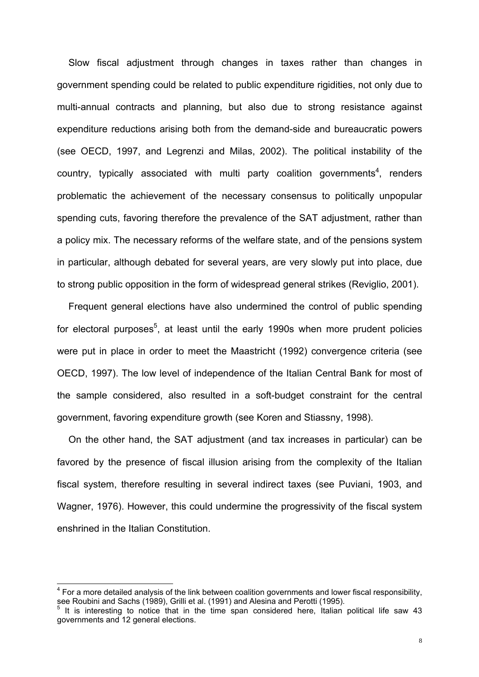Slow fiscal adjustment through changes in taxes rather than changes in government spending could be related to public expenditure rigidities, not only due to multi-annual contracts and planning, but also due to strong resistance against expenditure reductions arising both from the demand-side and bureaucratic powers (see OECD, 1997, and Legrenzi and Milas, 2002). The political instability of the country, typically associated with multi party coalition governments<sup>[4](#page-9-0)</sup>, renders problematic the achievement of the necessary consensus to politically unpopular spending cuts, favoring therefore the prevalence of the SAT adjustment, rather than a policy mix. The necessary reforms of the welfare state, and of the pensions system in particular, although debated for several years, are very slowly put into place, due to strong public opposition in the form of widespread general strikes (Reviglio, 2001).

Frequent general elections have also undermined the control of public spending for electoral purposes<sup>[5](#page-9-1)</sup>, at least until the early 1990s when more prudent policies were put in place in order to meet the Maastricht (1992) convergence criteria (see OECD, 1997). The low level of independence of the Italian Central Bank for most of the sample considered, also resulted in a soft-budget constraint for the central government, favoring expenditure growth (see Koren and Stiassny, 1998).

On the other hand, the SAT adjustment (and tax increases in particular) can be favored by the presence of fiscal illusion arising from the complexity of the Italian fiscal system, therefore resulting in several indirect taxes (see Puviani, 1903, and Wagner, 1976). However, this could undermine the progressivity of the fiscal system enshrined in the Italian Constitution.

<span id="page-9-0"></span>The more detailed analysis of the link between coalition governments and lower fiscal responsibility,  $^4$  For a more detailed analysis of the link between coalition governments and lower fiscal responsibility, see Roubini and Sachs (1989), Grilli et al. (1991) and Alesina and Perotti (1995).

<span id="page-9-1"></span>It is interesting to notice that in the time span considered here, Italian political life saw 43 governments and 12 general elections.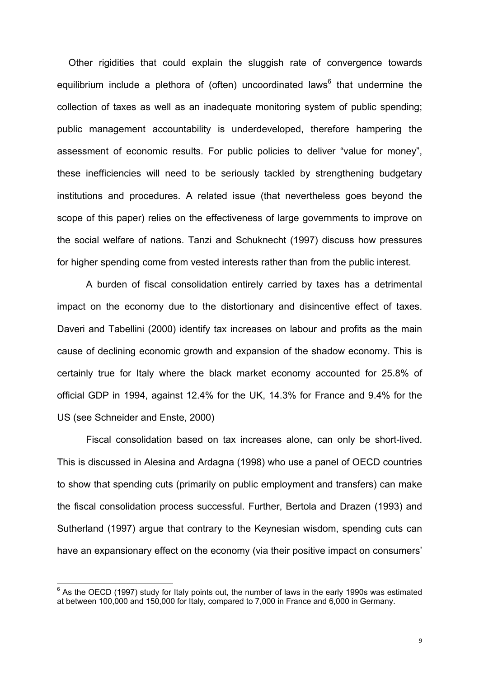Other rigidities that could explain the sluggish rate of convergence towards equilibrium include a plethora of (often) uncoordinated laws<sup>[6](#page-10-0)</sup> that undermine the collection of taxes as well as an inadequate monitoring system of public spending; public management accountability is underdeveloped, therefore hampering the assessment of economic results. For public policies to deliver "value for money", these inefficiencies will need to be seriously tackled by strengthening budgetary institutions and procedures. A related issue (that nevertheless goes beyond the scope of this paper) relies on the effectiveness of large governments to improve on the social welfare of nations. Tanzi and Schuknecht (1997) discuss how pressures for higher spending come from vested interests rather than from the public interest.

A burden of fiscal consolidation entirely carried by taxes has a detrimental impact on the economy due to the distortionary and disincentive effect of taxes. Daveri and Tabellini (2000) identify tax increases on labour and profits as the main cause of declining economic growth and expansion of the shadow economy. This is certainly true for Italy where the black market economy accounted for 25.8% of official GDP in 1994, against 12.4% for the UK, 14.3% for France and 9.4% for the US (see Schneider and Enste, 2000)

Fiscal consolidation based on tax increases alone, can only be short-lived. This is discussed in Alesina and Ardagna (1998) who use a panel of OECD countries to show that spending cuts (primarily on public employment and transfers) can make the fiscal consolidation process successful. Further, Bertola and Drazen (1993) and Sutherland (1997) argue that contrary to the Keynesian wisdom, spending cuts can have an expansionary effect on the economy (via their positive impact on consumers'

<span id="page-10-0"></span>EXA ID TO THE NOTE THE COLL THE CONSET OF SASKET OF SASSET OF SASSET OF SASSET OF SASSET OF SASSET OF SASSET OF SASSET OF SASSET OF SASSET OF SASSET OF SASSET OF SASSET OF SASSET OF SASSET OF SASSET OF SASSET OF SASSET OF at between 100,000 and 150,000 for Italy, compared to 7,000 in France and 6,000 in Germany.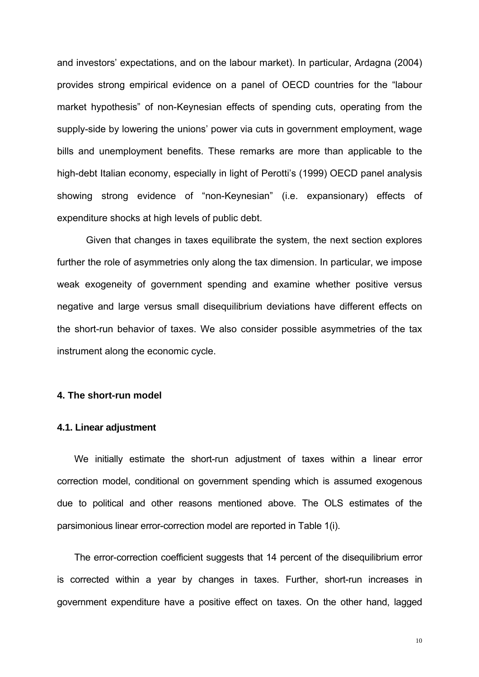and investors' expectations, and on the labour market). In particular, Ardagna (2004) provides strong empirical evidence on a panel of OECD countries for the "labour market hypothesis" of non-Keynesian effects of spending cuts, operating from the supply-side by lowering the unions' power via cuts in government employment, wage bills and unemployment benefits. These remarks are more than applicable to the high-debt Italian economy, especially in light of Perotti's (1999) OECD panel analysis showing strong evidence of "non-Keynesian" (i.e. expansionary) effects of expenditure shocks at high levels of public debt.

Given that changes in taxes equilibrate the system, the next section explores further the role of asymmetries only along the tax dimension. In particular, we impose weak exogeneity of government spending and examine whether positive versus negative and large versus small disequilibrium deviations have different effects on the short-run behavior of taxes. We also consider possible asymmetries of the tax instrument along the economic cycle.

#### **4. The short-run model**

#### **4.1. Linear adjustment**

We initially estimate the short-run adjustment of taxes within a linear error correction model, conditional on government spending which is assumed exogenous due to political and other reasons mentioned above. The OLS estimates of the parsimonious linear error-correction model are reported in Table 1(i).

The error-correction coefficient suggests that 14 percent of the disequilibrium error is corrected within a year by changes in taxes. Further, short-run increases in government expenditure have a positive effect on taxes. On the other hand, lagged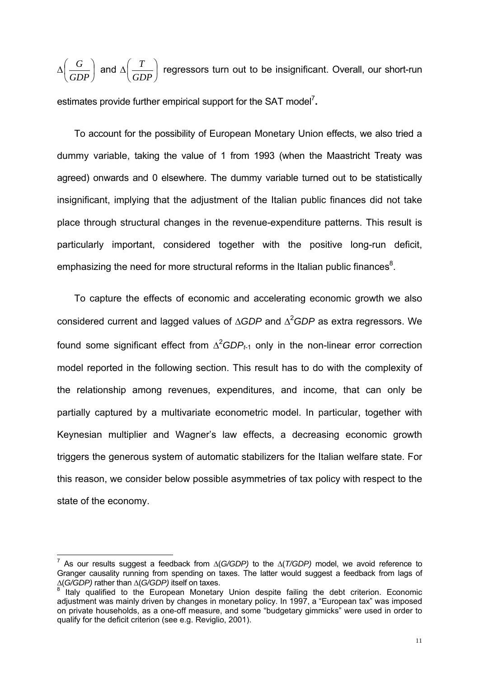$\Delta \left| \frac{0}{\sin \theta} \right|$ ⎠  $\left(\frac{G}{\sqrt{2}}\right)$ ⎝  $\big($ *GDP*  $\left(\frac{G}{G \cdot G} \right)$  and  $\Delta \left(\frac{T}{G \cdot G} \right)$ ⎠  $\left(\frac{T}{2R}\right)$ ⎝  $\big($ *GDP*  $\left(\frac{T}{T}\right)^{n}$  regressors turn out to be insignificant. Overall, our short-run estimates provide further empirical support for the SAT model<sup>7</sup>.

To account for the possibility of European Monetary Union effects, we also tried a dummy variable, taking the value of 1 from 1993 (when the Maastricht Treaty was agreed) onwards and 0 elsewhere. The dummy variable turned out to be statistically insignificant, implying that the adjustment of the Italian public finances did not take place through structural changes in the revenue-expenditure patterns. This result is particularly important, considered together with the positive long-run deficit, emphasizing the need for more structural reforms in the Italian public finances<sup>8</sup>.

To capture the effects of economic and accelerating economic growth we also considered current and lagged values of ∆*GDP* and ∆<sup>2</sup> *GDP* as extra regressors. We found some significant effect from  $\Delta^2 GDP_{t\text{-}1}$  only in the non-linear error correction model reported in the following section. This result has to do with the complexity of the relationship among revenues, expenditures, and income, that can only be partially captured by a multivariate econometric model. In particular, together with Keynesian multiplier and Wagner's law effects, a decreasing economic growth triggers the generous system of automatic stabilizers for the Italian welfare state. For this reason, we consider below possible asymmetries of tax policy with respect to the state of the economy.

 $\overline{\phantom{a}}$ 

<span id="page-12-0"></span><sup>7</sup> As our results suggest a feedback from ∆(*G/GDP)* to the ∆(*T/GDP)* model, we avoid reference to Granger causality running from spending on taxes. The latter would suggest a feedback from lags of <sup>∆</sup>(*G/GDP)* rather than ∆(*G/GDP)* itself on taxes. 8

<span id="page-12-1"></span>Italy qualified to the European Monetary Union despite failing the debt criterion. Economic adjustment was mainly driven by changes in monetary policy. In 1997, a "European tax" was imposed on private households, as a one-off measure, and some "budgetary gimmicks" were used in order to qualify for the deficit criterion (see e.g. Reviglio, 2001).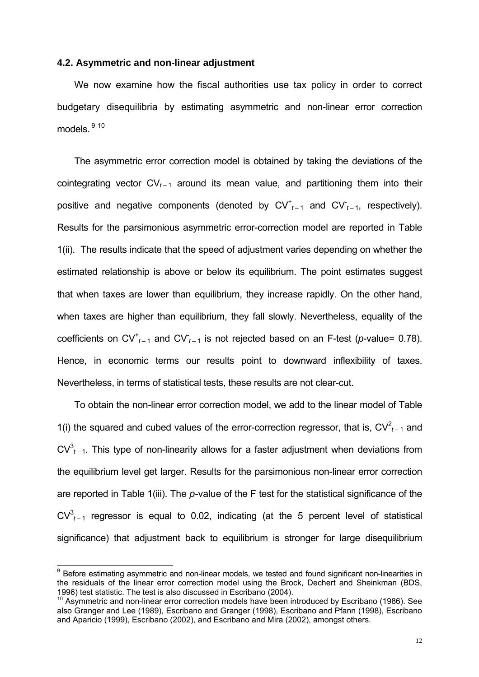#### **4.2. Asymmetric and non-linear adjustment**

We now examine how the fiscal authorities use tax policy in order to correct budgetary disequilibria by estimating asymmetric and non-linear error correction models. [9](#page-13-0) [10](#page-13-1) 

The asymmetric error correction model is obtained by taking the deviations of the cointegrating vector CV*t –* 1 around its mean value, and partitioning them into their positive and negative components (denoted by  $CV_{t-1}^+$  and  $CV_{t-1}$ , respectively). Results for the parsimonious asymmetric error-correction model are reported in Table 1(ii). The results indicate that the speed of adjustment varies depending on whether the estimated relationship is above or below its equilibrium. The point estimates suggest that when taxes are lower than equilibrium, they increase rapidly. On the other hand, when taxes are higher than equilibrium, they fall slowly. Nevertheless, equality of the coefficients on  $CV_{t-1}^+$  and  $CV_{t-1}$  is not rejected based on an F-test (*p*-value= 0.78). Hence, in economic terms our results point to downward inflexibility of taxes. Nevertheless, in terms of statistical tests, these results are not clear-cut.

To obtain the non-linear error correction model, we add to the linear model of Table 1(i) the squared and cubed values of the error-correction regressor, that is,  $CV<sup>2</sup><sub>t-1</sub>$  and  $CV^3_{t-1}$ . This type of non-linearity allows for a faster adjustment when deviations from the equilibrium level get larger. Results for the parsimonious non-linear error correction are reported in Table 1(iii). The *p*-value of the F test for the statistical significance of the  $CV^3_{t-1}$  regressor is equal to 0.02, indicating (at the 5 percent level of statistical significance) that adjustment back to equilibrium is stronger for large disequilibrium

<span id="page-13-0"></span><sup>&</sup>lt;sup>9</sup> Before estimating asymmetric and non-linear models, we tested and found significant non-linearities in the residuals of the linear error correction model using the Brock, Dechert and Sheinkman (BDS, 1996) test statistic. The test is also discussed in Escribano (2004).

<span id="page-13-1"></span> $10$  Asymmetric and non-linear error correction models have been introduced by Escribano (1986). See also Granger and Lee (1989), Escribano and Granger (1998), Escribano and Pfann (1998), Escribano and Aparicio (1999), Escribano (2002), and Escribano and Mira (2002), amongst others.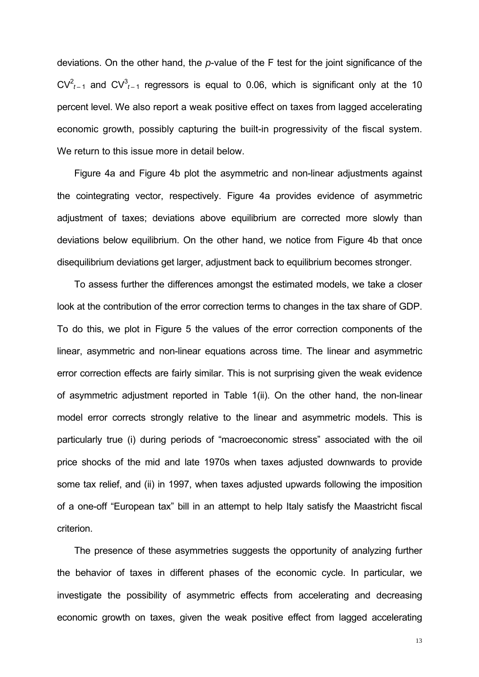deviations. On the other hand, the *p*-value of the F test for the joint significance of the  $CV<sup>2</sup>_{t-1}$  and  $CV<sup>3</sup>_{t-1}$  regressors is equal to 0.06, which is significant only at the 10 percent level. We also report a weak positive effect on taxes from lagged accelerating economic growth, possibly capturing the built-in progressivity of the fiscal system. We return to this issue more in detail below.

Figure 4a and Figure 4b plot the asymmetric and non-linear adjustments against the cointegrating vector, respectively. Figure 4a provides evidence of asymmetric adjustment of taxes; deviations above equilibrium are corrected more slowly than deviations below equilibrium. On the other hand, we notice from Figure 4b that once disequilibrium deviations get larger, adjustment back to equilibrium becomes stronger.

To assess further the differences amongst the estimated models, we take a closer look at the contribution of the error correction terms to changes in the tax share of GDP. To do this, we plot in Figure 5 the values of the error correction components of the linear, asymmetric and non-linear equations across time. The linear and asymmetric error correction effects are fairly similar. This is not surprising given the weak evidence of asymmetric adjustment reported in Table 1(ii). On the other hand, the non-linear model error corrects strongly relative to the linear and asymmetric models. This is particularly true (i) during periods of "macroeconomic stress" associated with the oil price shocks of the mid and late 1970s when taxes adjusted downwards to provide some tax relief, and (ii) in 1997, when taxes adjusted upwards following the imposition of a one-off "European tax" bill in an attempt to help Italy satisfy the Maastricht fiscal criterion.

The presence of these asymmetries suggests the opportunity of analyzing further the behavior of taxes in different phases of the economic cycle. In particular, we investigate the possibility of asymmetric effects from accelerating and decreasing economic growth on taxes, given the weak positive effect from lagged accelerating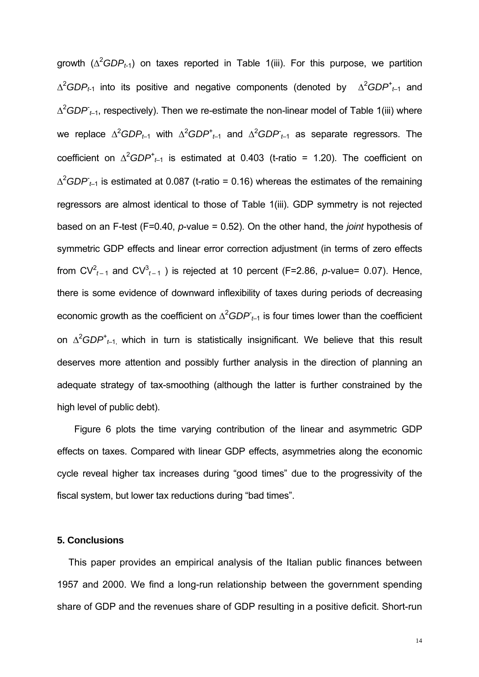growth ( $\Delta^2 GDP_{t-1}$ ) on taxes reported in Table 1(iii). For this purpose, we partition ∆<sup>2</sup>*GDP*<sub>t-1</sub> into its positive and negative components (denoted by ∆<sup>2</sup>*GDP*<sup>+</sup><sub>t-1</sub> and ∆<sup>2</sup>GDP<sub>t-1</sub>, respectively). Then we re-estimate the non-linear model of Table 1(iii) where  $\mu$ e replace  $\Delta^2 GDP_{t-1}$  with  $\Delta^2 GDP_{t-1}^t$  and  $\Delta^2 GDP_{t-1}$  as separate regressors. The coefficient on  $\Delta^2 GDP^{\dagger}_{t-1}$  is estimated at 0.403 (t-ratio = 1.20). The coefficient on ∆<sup>2</sup>*GDP*<sub>t-1</sub> is estimated at 0.087 (t-ratio = 0.16) whereas the estimates of the remaining regressors are almost identical to those of Table 1(iii). GDP symmetry is not rejected based on an F-test (F=0.40, *p*-value = 0.52). On the other hand, the *joint* hypothesis of symmetric GDP effects and linear error correction adjustment (in terms of zero effects from  $CV_{t-1}^2$  and  $CV_{t-1}^3$ ) is rejected at 10 percent (F=2.86, *p*-value= 0.07). Hence, there is some evidence of downward inflexibility of taxes during periods of decreasing economic growth as the coefficient on  $\Delta^2 GDP_{t-1}$  is four times lower than the coefficient on ∆<sup>2</sup>*GDP*<sup>+</sup><sub>t–1,</sub> which in turn is statistically insignificant. We believe that this result deserves more attention and possibly further analysis in the direction of planning an adequate strategy of tax-smoothing (although the latter is further constrained by the high level of public debt).

Figure 6 plots the time varying contribution of the linear and asymmetric GDP effects on taxes. Compared with linear GDP effects, asymmetries along the economic cycle reveal higher tax increases during "good times" due to the progressivity of the fiscal system, but lower tax reductions during "bad times".

#### **5. Conclusions**

This paper provides an empirical analysis of the Italian public finances between 1957 and 2000. We find a long-run relationship between the government spending share of GDP and the revenues share of GDP resulting in a positive deficit. Short-run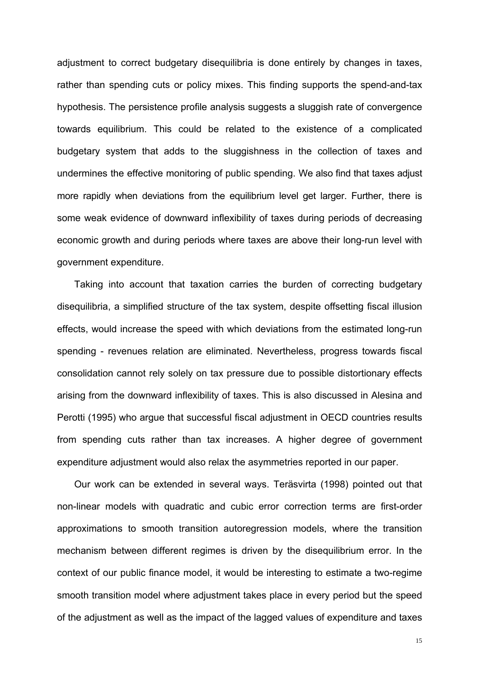adjustment to correct budgetary disequilibria is done entirely by changes in taxes, rather than spending cuts or policy mixes. This finding supports the spend-and-tax hypothesis. The persistence profile analysis suggests a sluggish rate of convergence towards equilibrium. This could be related to the existence of a complicated budgetary system that adds to the sluggishness in the collection of taxes and undermines the effective monitoring of public spending. We also find that taxes adjust more rapidly when deviations from the equilibrium level get larger. Further, there is some weak evidence of downward inflexibility of taxes during periods of decreasing economic growth and during periods where taxes are above their long-run level with government expenditure.

Taking into account that taxation carries the burden of correcting budgetary disequilibria, a simplified structure of the tax system, despite offsetting fiscal illusion effects, would increase the speed with which deviations from the estimated long-run spending - revenues relation are eliminated. Nevertheless, progress towards fiscal consolidation cannot rely solely on tax pressure due to possible distortionary effects arising from the downward inflexibility of taxes. This is also discussed in Alesina and Perotti (1995) who argue that successful fiscal adjustment in OECD countries results from spending cuts rather than tax increases. A higher degree of government expenditure adjustment would also relax the asymmetries reported in our paper.

Our work can be extended in several ways. Teräsvirta (1998) pointed out that non-linear models with quadratic and cubic error correction terms are first-order approximations to smooth transition autoregression models, where the transition mechanism between different regimes is driven by the disequilibrium error. In the context of our public finance model, it would be interesting to estimate a two-regime smooth transition model where adjustment takes place in every period but the speed of the adjustment as well as the impact of the lagged values of expenditure and taxes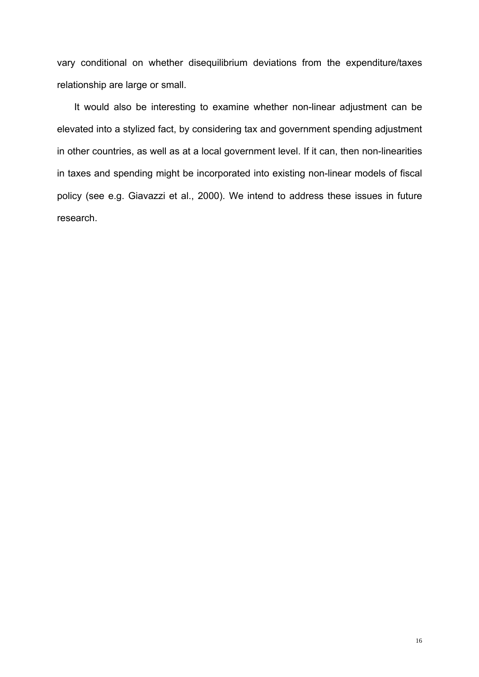vary conditional on whether disequilibrium deviations from the expenditure/taxes relationship are large or small.

It would also be interesting to examine whether non-linear adjustment can be elevated into a stylized fact, by considering tax and government spending adjustment in other countries, as well as at a local government level. If it can, then non-linearities in taxes and spending might be incorporated into existing non-linear models of fiscal policy (see e.g. Giavazzi et al., 2000). We intend to address these issues in future research.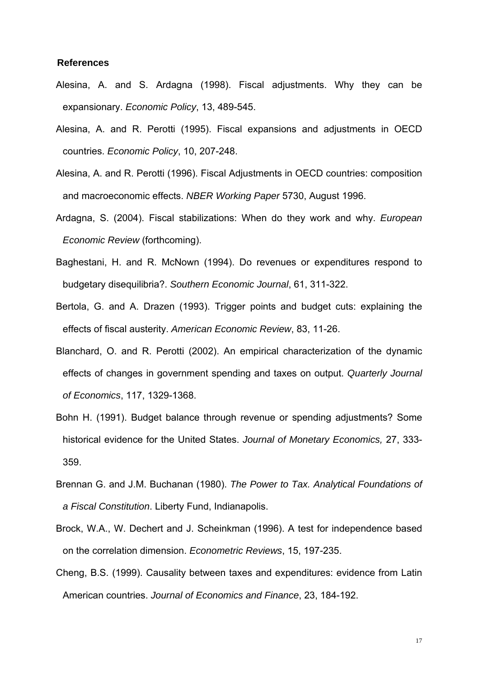#### **References**

- Alesina, A. and S. Ardagna (1998). Fiscal adjustments. Why they can be expansionary. *Economic Policy*, 13, 489-545.
- Alesina, A. and R. Perotti (1995). Fiscal expansions and adjustments in OECD countries. *Economic Policy*, 10, 207-248.
- Alesina, A. and R. Perotti (1996). Fiscal Adjustments in OECD countries: composition and macroeconomic effects. *NBER Working Paper* 5730, August 1996.
- Ardagna, S. (2004). Fiscal stabilizations: When do they work and why. *European Economic Review* (forthcoming).
- Baghestani, H. and R. McNown (1994). Do revenues or expenditures respond to budgetary disequilibria?. *Southern Economic Journal*, 61, 311-322.
- Bertola, G. and A. Drazen (1993). Trigger points and budget cuts: explaining the effects of fiscal austerity. *American Economic Review*, 83, 11-26.
- Blanchard, O. and R. Perotti (2002). An empirical characterization of the dynamic effects of changes in government spending and taxes on output. *Quarterly Journal of Economics*, 117, 1329-1368.
- Bohn H. (1991). Budget balance through revenue or spending adjustments? Some historical evidence for the United States. *Journal of Monetary Economics,* 27, 333- 359.
- Brennan G. and J.M. Buchanan (1980). *The Power to Tax. Analytical Foundations of a Fiscal Constitution*. Liberty Fund, Indianapolis.
- Brock, W.A., W. Dechert and J. Scheinkman (1996). A test for independence based on the correlation dimension. *Econometric Reviews*, 15, 197-235.
- Cheng, B.S. (1999). Causality between taxes and expenditures: evidence from Latin American countries. *Journal of Economics and Finance*, 23, 184-192.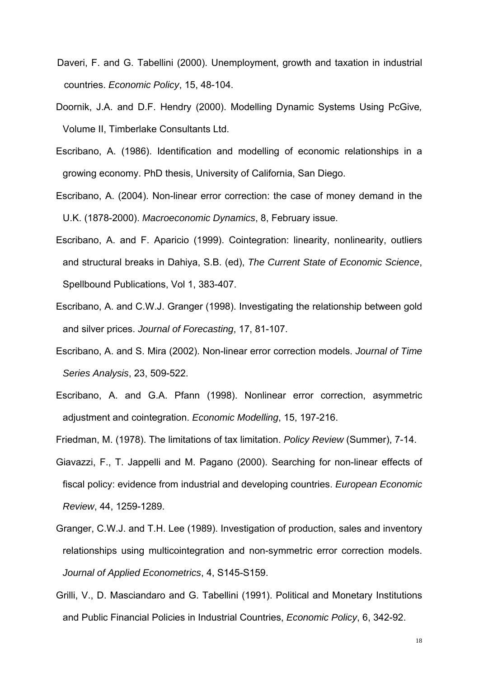- Daveri, F. and G. Tabellini (2000). Unemployment, growth and taxation in industrial countries. *Economic Policy*, 15, 48-104.
- Doornik, J.A. and D.F. Hendry (2000). Modelling Dynamic Systems Using PcGive*,*  Volume II, Timberlake Consultants Ltd.
- Escribano, A. (1986). Identification and modelling of economic relationships in a growing economy. PhD thesis, University of California, San Diego.
- Escribano, A. (2004). Non-linear error correction: the case of money demand in the U.K. (1878-2000). *Macroeconomic Dynamics*, 8, February issue.
- Escribano, A. and F. Aparicio (1999). Cointegration: linearity, nonlinearity, outliers and structural breaks in Dahiya, S.B. (ed), *The Current State of Economic Science*, Spellbound Publications, Vol 1, 383-407.
- Escribano, A. and C.W.J. Granger (1998). Investigating the relationship between gold and silver prices. *Journal of Forecasting*, 17, 81-107.
- Escribano, A. and S. Mira (2002). Non-linear error correction models. *Journal of Time Series Analysis*, 23, 509-522.
- Escribano, A. and G.A. Pfann (1998). Nonlinear error correction, asymmetric adjustment and cointegration. *Economic Modelling*, 15, 197-216.

Friedman, M. (1978). The limitations of tax limitation. *Policy Review* (Summer), 7-14.

- Giavazzi, F., T. Jappelli and M. Pagano (2000). Searching for non-linear effects of fiscal policy: evidence from industrial and developing countries. *European Economic Review*, 44, 1259-1289.
- Granger, C.W.J. and T.H. Lee (1989). Investigation of production, sales and inventory relationships using multicointegration and non-symmetric error correction models. *Journal of Applied Econometrics*, 4, S145-S159.
- Grilli, V., D. Masciandaro and G. Tabellini (1991). Political and Monetary Institutions and Public Financial Policies in Industrial Countries, *Economic Policy*, 6, 342-92.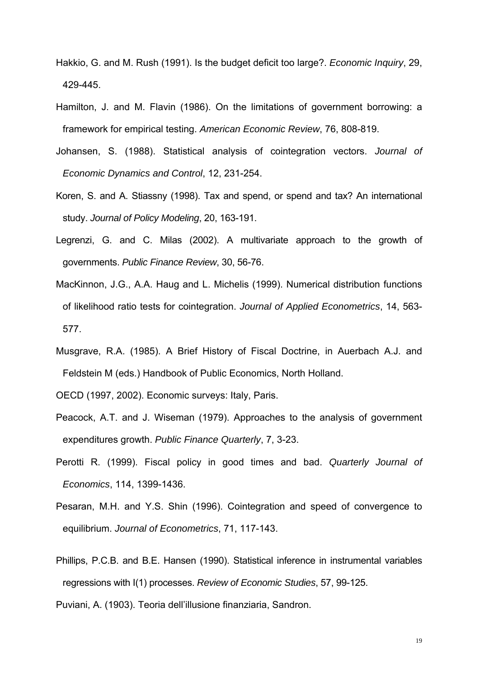- Hakkio, G. and M. Rush (1991). Is the budget deficit too large?. *Economic Inquiry*, 29, 429-445.
- Hamilton, J. and M. Flavin (1986). On the limitations of government borrowing: a framework for empirical testing. *American Economic Review*, 76, 808-819.
- Johansen, S. (1988). Statistical analysis of cointegration vectors. *Journal of Economic Dynamics and Control*, 12, 231-254.
- Koren, S. and A. Stiassny (1998). Tax and spend, or spend and tax? An international study. *Journal of Policy Modeling*, 20, 163-191.
- Legrenzi, G. and C. Milas (2002). A multivariate approach to the growth of governments. *Public Finance Review*, 30, 56-76.
- MacKinnon, J.G., A.A. Haug and L. Michelis (1999). Numerical distribution functions of likelihood ratio tests for cointegration. *Journal of Applied Econometrics*, 14, 563- 577.
- Musgrave, R.A. (1985). A Brief History of Fiscal Doctrine, in Auerbach A.J. and Feldstein M (eds.) Handbook of Public Economics, North Holland.
- OECD (1997, 2002). Economic surveys: Italy, Paris.
- Peacock, A.T. and J. Wiseman (1979). Approaches to the analysis of government expenditures growth. *Public Finance Quarterly*, 7, 3-23.
- Perotti R. (1999). Fiscal policy in good times and bad. *Quarterly Journal of Economics*, 114, 1399-1436.
- Pesaran, M.H. and Y.S. Shin (1996). Cointegration and speed of convergence to equilibrium. *Journal of Econometrics*, 71, 117-143.
- Phillips, P.C.B. and B.E. Hansen (1990). Statistical inference in instrumental variables regressions with I(1) processes. *Review of Economic Studies*, 57, 99-125.
- Puviani, A. (1903). Teoria dell'illusione finanziaria, Sandron.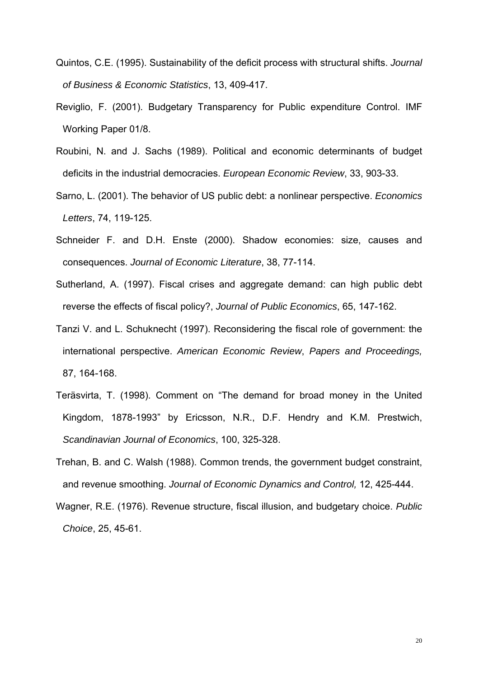- Quintos, C.E. (1995). Sustainability of the deficit process with structural shifts. *Journal of Business & Economic Statistics*, 13, 409-417.
- Reviglio, F. (2001). Budgetary Transparency for Public expenditure Control. IMF Working Paper 01/8.
- Roubini, N. and J. Sachs (1989). Political and economic determinants of budget deficits in the industrial democracies. *European Economic Review*, 33, 903-33.
- Sarno, L. (2001). The behavior of US public debt: a nonlinear perspective. *Economics Letters*, 74, 119-125.
- Schneider F. and D.H. Enste (2000). Shadow economies: size, causes and consequences. *Journal of Economic Literature*, 38, 77-114.
- Sutherland, A. (1997). Fiscal crises and aggregate demand: can high public debt reverse the effects of fiscal policy?, *Journal of Public Economics*, 65, 147-162.
- Tanzi V. and L. Schuknecht (1997). Reconsidering the fiscal role of government: the international perspective. *American Economic Review*, *Papers and Proceedings,*  87, 164-168.
- Teräsvirta, T. (1998). Comment on "The demand for broad money in the United Kingdom, 1878-1993" by Ericsson, N.R., D.F. Hendry and K.M. Prestwich, *Scandinavian Journal of Economics*, 100, 325-328.
- Trehan, B. and C. Walsh (1988). Common trends, the government budget constraint, and revenue smoothing. *Journal of Economic Dynamics and Control,* 12, 425-444.
- Wagner, R.E. (1976). Revenue structure, fiscal illusion, and budgetary choice. *Public Choice*, 25, 45-61.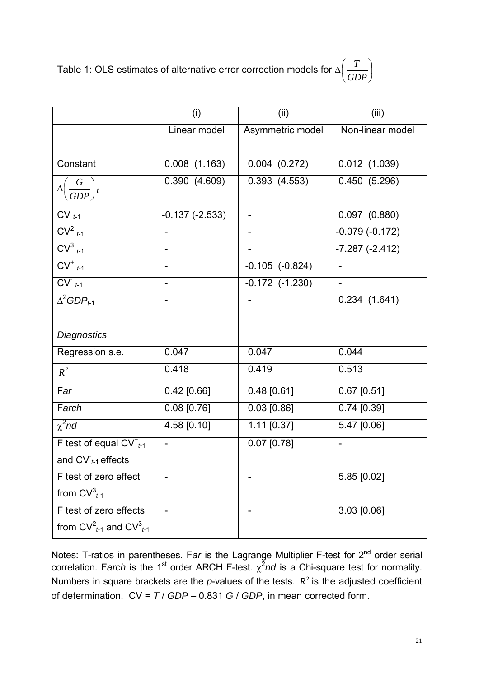Table 1: OLS estimates of alternative error correction models for  $\Delta\left|\frac{1}{C\sum_{i}n_{i}}\right|$ ⎠  $\left(\frac{T}{2R} \right)$ ⎝  $\big($ *GDP T*

|                                      | (i)                      | (ii)                     | (iii)                    |
|--------------------------------------|--------------------------|--------------------------|--------------------------|
|                                      | Linear model             | Asymmetric model         | Non-linear model         |
|                                      |                          |                          |                          |
| Constant                             | $0.008$ $(1.163)$        | $0.004$ $(0.272)$        | 0.012(1.039)             |
| $\Delta \left(\frac{G}{GDP}\right)t$ | 0.390(4.609)             | 0.393(4.553)             | 0.450(5.296)             |
|                                      |                          |                          |                          |
| $CV_{t-1}$                           | $-0.137(-2.533)$         | $\overline{\phantom{0}}$ | $0.097$ $(0.880)$        |
| $CV^2_{t-1}$                         |                          |                          | $-0.079(-0.172)$         |
| $CV^3_{t-1}$                         |                          |                          | $-7.287(-2.412)$         |
| $CV^{\dagger}$ <sub>t-1</sub>        |                          | $-0.105$ $(-0.824)$      |                          |
| $CVt-1$                              | $\overline{\phantom{0}}$ | $-0.172$ $(-1.230)$      | $\overline{\phantom{a}}$ |
| $\Delta^2 GDP_{t-1}$                 |                          |                          | 0.234(1.641)             |
|                                      |                          |                          |                          |
| <b>Diagnostics</b>                   |                          |                          |                          |
| Regression s.e.                      | 0.047                    | 0.047                    | 0.044                    |
| $R^2$                                | 0.418                    | 0.419                    | 0.513                    |
| Far                                  | $0.42$ [0.66]            | $0.48$ [0.61]            | $0.67$ [0.51]            |
| Farch                                | $0.08$ [0.76]            | $0.03$ [0.86]            | $0.74$ [0.39]            |
| $\chi^2$ nd                          | 4.58 [0.10]              | $1.11$ [0.37]            | 5.47 [0.06]              |
| F test of equal $CV_{t-1}^+$         |                          | $0.07$ [0.78]            |                          |
| and $CV_{t-1}$ effects               |                          |                          |                          |
| F test of zero effect                |                          |                          | 5.85 [0.02]              |
| from $CV_{t-1}^3$                    |                          |                          |                          |
| F test of zero effects               |                          |                          | 3.03 [0.06]              |
| from $CV_{t1}^2$ and $CV_{t1}^3$     |                          |                          |                          |

Notes: T-ratios in parentheses. Far is the Lagrange Multiplier F-test for 2<sup>nd</sup> order serial correlation. Farch is the 1<sup>st</sup> order ARCH F-test.  $\chi^2$ nd is a Chi-square test for normality. Numbers in square brackets are the *p*-values of the tests.  $\overline{R}^2$  is the adjusted coefficient of determination. CV = *T* / *GDP* – 0.831 *G* / *GDP*, in mean corrected form.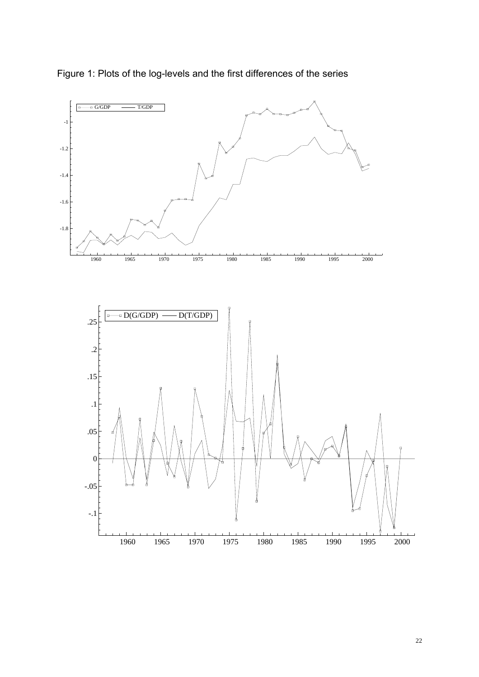

Figure 1: Plots of the log-levels and the first differences of the series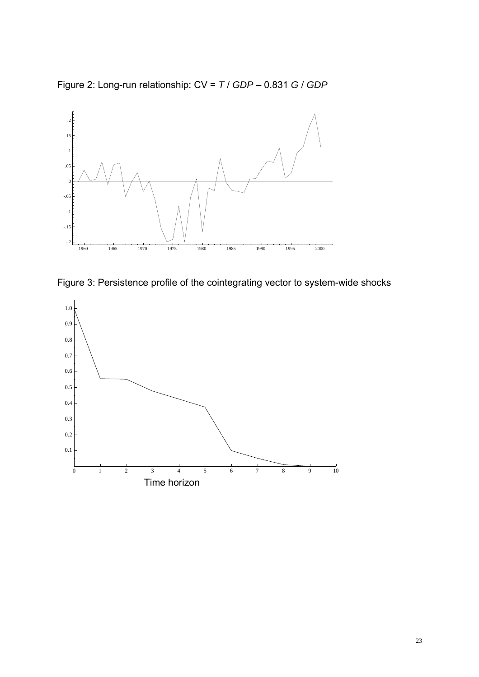Figure 2: Long-run relationship: CV = *T* / *GDP* – 0.831 *G* / *GDP* 



Figure 3: Persistence profile of the cointegrating vector to system-wide shocks

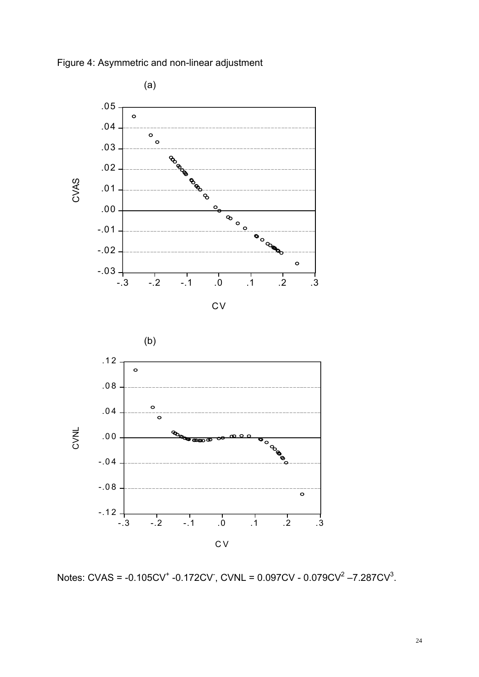



Notes: CVAS = -0.105CV<sup>+</sup> -0.172CV , CVNL = 0.097CV - 0.079CV<sup>2</sup> –7.287CV<sup>3</sup>.